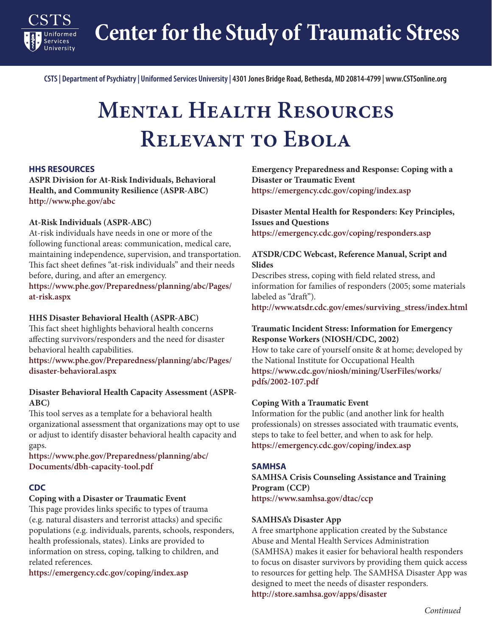**Center for the Study of Traumatic Stress**

**CSTS | Department of Psychiatry | Uniformed Services University | 4301 Jones Bridge Road, Bethesda, MD 20814-4799 | www.CSTSonline.org**

# **Mental Health Resources Relevant to Ebola**

#### **HHS RESOURCES**

**Services** 

**ASPR Division for At-Risk Individuals, Behavioral Health, and Community Resilience (ASPR-ABC) <http://www.phe.gov/abc>**

### **At-Risk Individuals (ASPR-ABC)**

At-risk individuals have needs in one or more of the following functional areas: communication, medical care, maintaining independence, supervision, and transportation. This fact sheet defines "at-risk individuals" and their needs before, during, and after an emergency.

**[https://www.phe.gov/Preparedness/planning/abc/Pages/](https://www.phe.gov/Preparedness/planning/abc/Pages/at-risk.aspx) [at-risk.aspx](https://www.phe.gov/Preparedness/planning/abc/Pages/at-risk.aspx)**

#### **HHS Disaster Behavioral Health (ASPR-ABC)**

This fact sheet highlights behavioral health concerns affecting survivors/responders and the need for disaster behavioral health capabilities.

**[https://www.phe.gov/Preparedness/planning/abc/Pages/](https://www.phe.gov/Preparedness/planning/abc/Pages/disaster-behavioral.aspx) [disaster-behavioral.aspx](https://www.phe.gov/Preparedness/planning/abc/Pages/disaster-behavioral.aspx)**

# **Disaster Behavioral Health Capacity Assessment (ASPR-ABC)**

This tool serves as a template for a behavioral health organizational assessment that organizations may opt to use or adjust to identify disaster behavioral health capacity and gaps.

**[https://www.phe.gov/Preparedness/planning/abc/](https://www.phe.gov/Preparedness/planning/abc/Documents/dbh-capacity-tool.pdf) [Documents/dbh-capacity-tool.pdf](https://www.phe.gov/Preparedness/planning/abc/Documents/dbh-capacity-tool.pdf)**

#### **CDC**

## **Coping with a Disaster or Traumatic Event**

This page provides links specific to types of trauma (e.g. natural disasters and terrorist attacks) and specific populations (e.g. individuals, parents, schools, responders, health professionals, states). Links are provided to information on stress, coping, talking to children, and related references.

**<https://emergency.cdc.gov/coping/index.asp>**

**Emergency Preparedness and Response: Coping with a Disaster or Traumatic Event https://emergency.cdc.gov/coping/index.asp**

# **Disaster Mental Health for Responders: Key Principles, Issues and Questions**

**https://emergency.cdc.gov/coping/responders.asp**

## **ATSDR/CDC Webcast, Reference Manual, Script and Slides**

Describes stress, coping with field related stress, and information for families of responders (2005; some materials labeled as "draft").

**[http://www.atsdr.cdc.gov/emes/surviving\\_stress/index.html](http://www.atsdr.cdc.gov/emes/surviving_stress/index.html)**

## **Traumatic Incident Stress: Information for Emergency Response Workers (NIOSH/CDC, 2002)**

How to take care of yourself onsite & at home; developed by the National Institute for Occupational Health **[https://www.cdc.gov/niosh/mining/UserFiles/works/](https://www.cdc.gov/niosh/mining/UserFiles/works/pdfs/2002-107.pdf) [pdfs/2002-107.pdf](https://www.cdc.gov/niosh/mining/UserFiles/works/pdfs/2002-107.pdf)**

#### **Coping With a Traumatic Event**

Information for the public (and another link for health professionals) on stresses associated with traumatic events, steps to take to feel better, and when to ask for help. **<https://emergency.cdc.gov/coping/index.asp>**

#### **SAMHSA**

**SAMHSA Crisis Counseling Assistance and Training Program (CCP) <https://www.samhsa.gov/dtac/ccp>**

#### **SAMHSA's Disaster App**

A free smartphone application created by the Substance Abuse and Mental Health Services Administration (SAMHSA) makes it easier for behavioral health responders to focus on disaster survivors by providing them quick access to resources for getting help. The SAMHSA Disaster App was designed to meet the needs of disaster responders. **<http://store.samhsa.gov/apps/disaster>**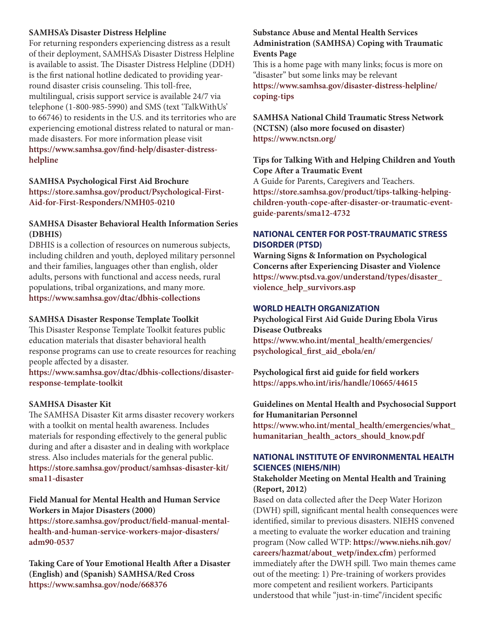## **SAMHSA's Disaster Distress Helpline**

For returning responders experiencing distress as a result of their deployment, SAMHSA's Disaster Distress Helpline is available to assist. The Disaster Distress Helpline (DDH) is the first national hotline dedicated to providing yearround disaster crisis counseling. This toll-free, multilingual, crisis support service is available 24/7 via telephone (1-800-985-5990) and SMS (text 'TalkWithUs' to 66746) to residents in the U.S. and its territories who are experiencing emotional distress related to natural or manmade disasters. For more information please visit **[https://www.samhsa.gov/find-help/disaster-distress](https://www.samhsa.gov/find-help/disaster-distress-helpline)[helpline](https://www.samhsa.gov/find-help/disaster-distress-helpline)**

# **SAMHSA Psychological First Aid Brochure [https://store.samhsa.gov/product/Psychological-First-](https://store.samhsa.gov/product/Psychological-First-Aid-for-First-Responders/NMH05-0210)[Aid-for-First-Responders/NMH05-0210](https://store.samhsa.gov/product/Psychological-First-Aid-for-First-Responders/NMH05-0210)**

# **SAMHSA Disaster Behavioral Health Information Series (DBHIS)**

DBHIS is a collection of resources on numerous subjects, including children and youth, deployed military personnel and their families, languages other than english, older adults, persons with functional and access needs, rural populations, tribal organizations, and many more. **<https://www.samhsa.gov/dtac/dbhis-collections>**

## **SAMHSA Disaster Response Template Toolkit**

This Disaster Response Template Toolkit features public education materials that disaster behavioral health response programs can use to create resources for reaching people affected by a disaster.

**[https://www.samhsa.gov/dtac/dbhis-collections/disaster](https://www.samhsa.gov/dtac/dbhis-collections/disaster-response-template-toolkit)[response-template-toolkit](https://www.samhsa.gov/dtac/dbhis-collections/disaster-response-template-toolkit)**

#### **SAMHSA Disaster Kit**

The SAMHSA Disaster Kit arms disaster recovery workers with a toolkit on mental health awareness. Includes materials for responding effectively to the general public during and after a disaster and in dealing with workplace stress. Also includes materials for the general public. **[https://store.samhsa.gov/product/samhsas-disaster-kit/](https://store.samhsa.gov/product/samhsas-disaster-kit/sma11-disaster) [sma11-disaster](https://store.samhsa.gov/product/samhsas-disaster-kit/sma11-disaster)**

# **Field Manual for Mental Health and Human Service Workers in Major Disasters (2000)**

**[https://store.samhsa.gov/product/field-manual-mental](https://store.samhsa.gov/product/field-manual-mental-health-and-human-service-workers-major-disasters/adm90-0537)[health-and-human-service-workers-major-disasters/](https://store.samhsa.gov/product/field-manual-mental-health-and-human-service-workers-major-disasters/adm90-0537) [adm90-0537](https://store.samhsa.gov/product/field-manual-mental-health-and-human-service-workers-major-disasters/adm90-0537)**

**Taking Care of Your Emotional Health After a Disaster (English) and (Spanish) SAMHSA/Red Cross <https://www.samhsa.gov/node/668376>**

# **Substance Abuse and Mental Health Services Administration (SAMHSA) Coping with Traumatic Events Page**

This is a home page with many links; focus is more on "disaster" but some links may be relevant

**[https://www.samhsa.gov/disaster-distress-helpline/](https://www.samhsa.gov/disaster-distress-helpline/coping-tips) [coping-tips](https://www.samhsa.gov/disaster-distress-helpline/coping-tips)**

# **SAMHSA National Child Traumatic Stress Network (NCTSN) (also more focused on disaster) <https://www.nctsn.org/>**

**Tips for Talking With and Helping Children and Youth Cope After a Traumatic Event**

A Guide for Parents, Caregivers and Teachers. **[https://store.samhsa.gov/product/tips-talking-helping](https://store.samhsa.gov/product/tips-talking-helping-children-youth-cope-after-disaster-or-traumatic-event-guide-parents/sma12-4732)[children-youth-cope-after-disaster-or-traumatic-event](https://store.samhsa.gov/product/tips-talking-helping-children-youth-cope-after-disaster-or-traumatic-event-guide-parents/sma12-4732)[guide-parents/sma12-4732](https://store.samhsa.gov/product/tips-talking-helping-children-youth-cope-after-disaster-or-traumatic-event-guide-parents/sma12-4732)**

# **NATIONAL CENTER FOR POST-TRAUMATIC STRESS DISORDER (PTSD)**

**Warning Signs & Information on Psychological Concerns after Experiencing Disaster and Violence [https://www.ptsd.va.gov/understand/types/disaster\\_](https://www.ptsd.va.gov/understand/types/disaster_violence_help_survivors.asp) [violence\\_help\\_survivors.asp](https://www.ptsd.va.gov/understand/types/disaster_violence_help_survivors.asp)**

## **WORLD HEALTH ORGANIZATION**

**Psychological First Aid Guide During Ebola Virus Disease Outbreaks [https://www.who.int/mental\\_health/emergencies/](https://www.who.int/mental_health/emergencies/psychological_first_aid_ebola/en/) [psychological\\_first\\_aid\\_ebola/en/](https://www.who.int/mental_health/emergencies/psychological_first_aid_ebola/en/)**

**Psychological first aid guide for field workers <https://apps.who.int/iris/handle/10665/44615>**

**Guidelines on Mental Health and Psychosocial Support for Humanitarian Personnel [https://www.who.int/mental\\_health/emergencies/what\\_](https://www.who.int/mental_health/emergencies/what_humanitarian_health_actors_should_know.pdf) [humanitarian\\_health\\_actors\\_should\\_know.pdf](https://www.who.int/mental_health/emergencies/what_humanitarian_health_actors_should_know.pdf)**

# **NATIONAL INSTITUTE OF ENVIRONMENTAL HEALTH SCIENCES (NIEHS/NIH)**

## **Stakeholder Meeting on Mental Health and Training (Report, 2012)**

Based on data collected after the Deep Water Horizon (DWH) spill, significant mental health consequences were identified, similar to previous disasters. NIEHS convened a meeting to evaluate the worker education and training program (Now called WTP: **[https://www.niehs.nih.gov/](https://www.niehs.nih.gov/careers/hazmat/about_wetp/index.cfm) [careers/hazmat/about\\_wetp/index.cfm](https://www.niehs.nih.gov/careers/hazmat/about_wetp/index.cfm)**) performed immediately after the DWH spill. Two main themes came out of the meeting: 1) Pre-training of workers provides more competent and resilient workers. Participants understood that while "just-in-time"/incident specific